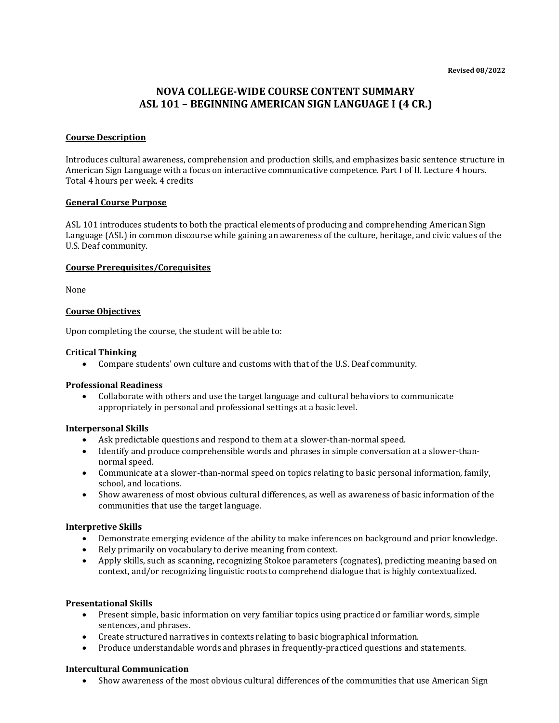# **NOVA COLLEGE-WIDE COURSE CONTENT SUMMARY ASL 101 – BEGINNING AMERICAN SIGN LANGUAGE I (4 CR.)**

# **Course Description**

Introduces cultural awareness, comprehension and production skills, and emphasizes basic sentence structure in American Sign Language with a focus on interactive communicative competence. Part I of II. Lecture 4 hours. Total 4 hours per week. 4 credits

#### **General Course Purpose**

ASL 101 introduces students to both the practical elements of producing and comprehending American Sign Language (ASL) in common discourse while gaining an awareness of the culture, heritage, and civic values of the U.S. Deaf community.

## **Course Prerequisites/Corequisites**

None

## **Course Objectives**

Upon completing the course, the student will be able to:

## **Critical Thinking**

• Compare students' own culture and customs with that of the U.S. Deaf community.

#### **Professional Readiness**

• Collaborate with others and use the target language and cultural behaviors to communicate appropriately in personal and professional settings at a basic level.

#### **Interpersonal Skills**

- Ask predictable questions and respond to them at a slower-than-normal speed.
- Identify and produce comprehensible words and phrases in simple conversation at a slower-thannormal speed.
- Communicate at a slower-than-normal speed on topics relating to basic personal information, family, school, and locations.
- Show awareness of most obvious cultural differences, as well as awareness of basic information of the communities that use the target language.

#### **Interpretive Skills**

- Demonstrate emerging evidence of the ability to make inferences on background and prior knowledge.
- Rely primarily on vocabulary to derive meaning from context.
- Apply skills, such as scanning, recognizing Stokoe parameters (cognates), predicting meaning based on context, and/or recognizing linguistic roots to comprehend dialogue that is highly contextualized.

#### **Presentational Skills**

- Present simple, basic information on very familiar topics using practiced or familiar words, simple sentences, and phrases.
- Create structured narratives in contexts relating to basic biographical information.
- Produce understandable words and phrases in frequently-practiced questions and statements.

# **Intercultural Communication**

• Show awareness of the most obvious cultural differences of the communities that use American Sign